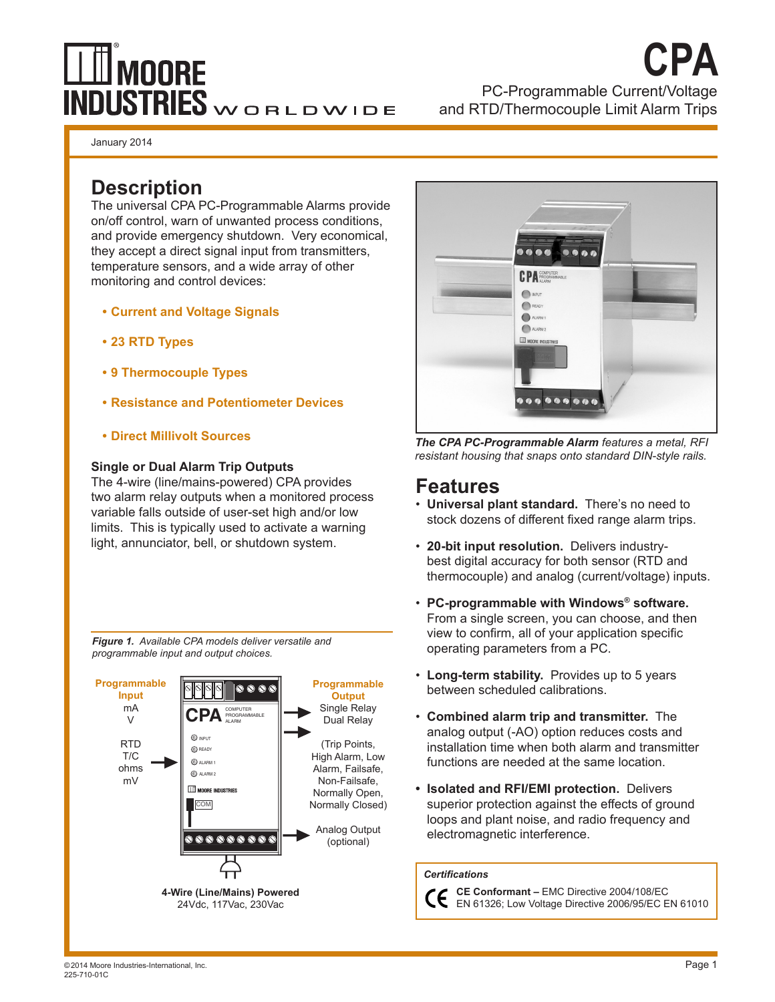# $\mathbb I$  moore INDUSTRIES WORLDWIDE

# PC-Programmable Current/Voltage and RTD/Thermocouple Limit Alarm Trips **CPA**

January 2014

# **Description**

The universal CPA PC-Programmable Alarms provide on/off control, warn of unwanted process conditions, and provide emergency shutdown. Very economical, they accept a direct signal input from transmitters, temperature sensors, and a wide array of other monitoring and control devices:

- **• Current and Voltage Signals**
- **• 23 RTD Types**
- **• 9 Thermocouple Types**
- **• Resistance and Potentiometer Devices**
- **• Direct Millivolt Sources**

#### **Single or Dual Alarm Trip Outputs**

The 4-wire (line/mains-powered) CPA provides two alarm relay outputs when a monitored process variable falls outside of user-set high and/or low limits. This is typically used to activate a warning light, annunciator, bell, or shutdown system.

*Figure 1. Available CPA models deliver versatile and programmable input and output choices.*





*The CPA PC-Programmable Alarm features a metal, RFI resistant housing that snaps onto standard DIN-style rails.*

# **Features**

- • **Universal plant standard.** There's no need to stock dozens of different fixed range alarm trips.
- • **20-bit input resolution.** Delivers industrybest digital accuracy for both sensor (RTD and thermocouple) and analog (current/voltage) inputs.
- • **PC-programmable with Windows® software.** From a single screen, you can choose, and then view to confirm, all of your application specific operating parameters from a PC.
- • **Long-term stability.** Provides up to 5 years between scheduled calibrations.
- • **Combined alarm trip and transmitter.** The analog output (-AO) option reduces costs and installation time when both alarm and transmitter functions are needed at the same location.
- **• Isolated and RFI/EMI protection.** Delivers superior protection against the effects of ground loops and plant noise, and radio frequency and electromagnetic interference.

#### *Certifications*

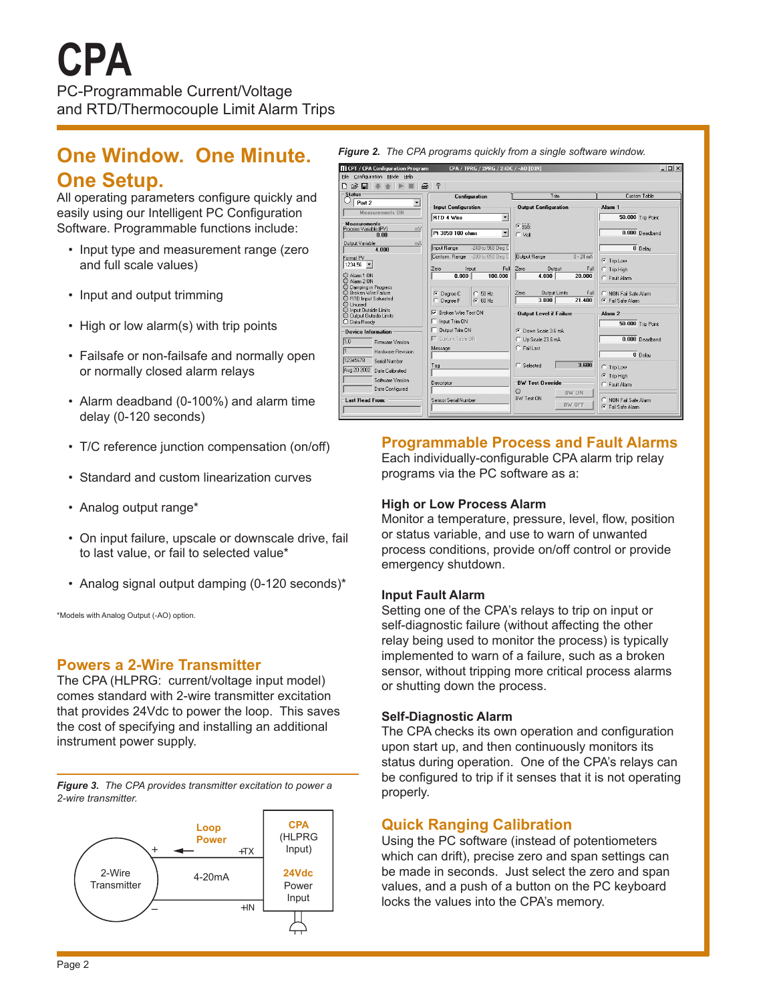# **One Window. One Minute. One Setup.**

All operating parameters configure quickly and easily using our Intelligent PC Configuration Software. Programmable functions include:

- Input type and measurement range (zero and full scale values)
- Input and output trimming
- High or low alarm(s) with trip points
- Failsafe or non-failsafe and normally open or normally closed alarm relays
- Alarm deadband (0-100%) and alarm time delay (0-120 seconds)
- T/C reference junction compensation (on/off)
- Standard and custom linearization curves
- Analog output range\*
- On input failure, upscale or downscale drive, fail to last value, or fail to selected value\*
- Analog signal output damping (0-120 seconds)\*

\*Models with Analog Output (-AO) option.

#### **Powers a 2-Wire Transmitter**

The CPA (HLPRG: current/voltage input model) comes standard with 2-wire transmitter excitation that provides 24Vdc to power the loop. This saves the cost of specifying and installing an additional instrument power supply.

*Figure 3. The CPA provides transmitter excitation to power a 2-wire transmitter.*





## **Programmable Process and Fault Alarms**

Each individually-configurable CPA alarm trip relay programs via the PC software as a:

#### **High or Low Process Alarm**

Monitor a temperature, pressure, level, flow, position or status variable, and use to warn of unwanted process conditions, provide on/off control or provide emergency shutdown.

#### **Input Fault Alarm**

Setting one of the CPA's relays to trip on input or self-diagnostic failure (without affecting the other relay being used to monitor the process) is typically implemented to warn of a failure, such as a broken sensor, without tripping more critical process alarms or shutting down the process.

#### **Self-Diagnostic Alarm**

The CPA checks its own operation and configuration upon start up, and then continuously monitors its status during operation. One of the CPA's relays can be configured to trip if it senses that it is not operating properly.

## **Quick Ranging Calibration**

Using the PC software (instead of potentiometers which can drift), precise zero and span settings can be made in seconds. Just select the zero and span values, and a push of a button on the PC keyboard locks the values into the CPA's memory.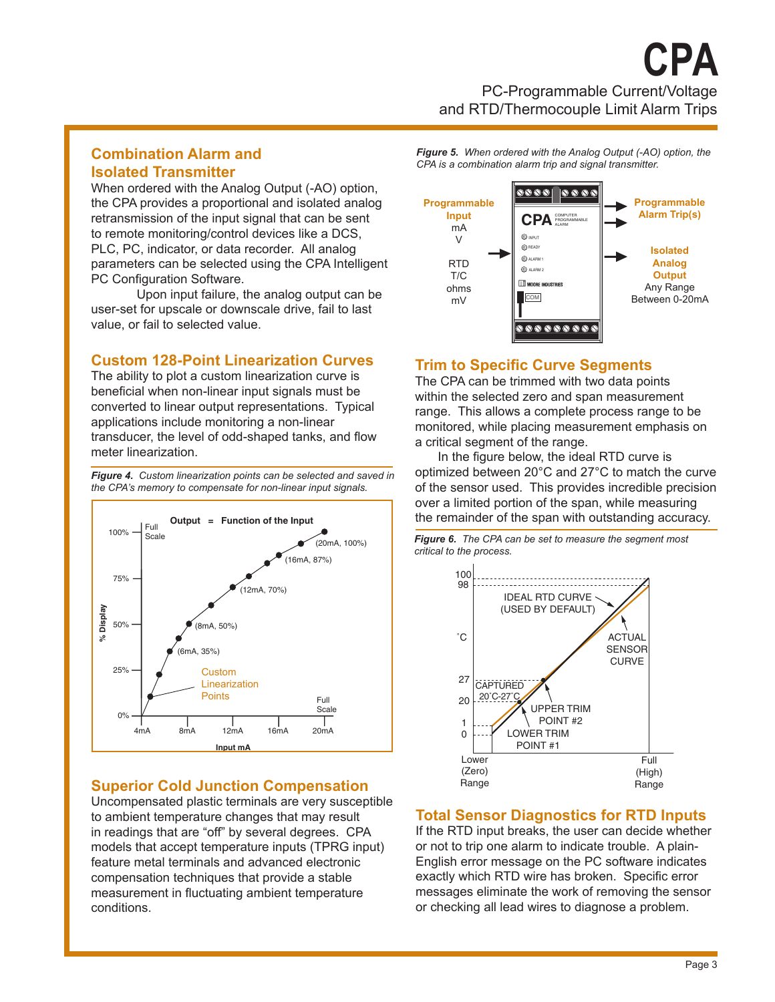## **Combination Alarm and Isolated Transmitter**

When ordered with the Analog Output (-AO) option, the CPA provides a proportional and isolated analog retransmission of the input signal that can be sent to remote monitoring/control devices like a DCS, PLC, PC, indicator, or data recorder. All analog parameters can be selected using the CPA Intelligent PC Configuration Software.

Upon input failure, the analog output can be user-set for upscale or downscale drive, fail to last value, or fail to selected value.

## **Custom 128-Point Linearization Curves**

The ability to plot a custom linearization curve is beneficial when non-linear input signals must be converted to linear output representations. Typical applications include monitoring a non-linear transducer, the level of odd-shaped tanks, and flow meter linearization.

*Figure 4. Custom linearization points can be selected and saved in the CPA's memory to compensate for non-linear input signals.*



## **Superior Cold Junction Compensation**

Uncompensated plastic terminals are very susceptible to ambient temperature changes that may result in readings that are "off" by several degrees. CPA models that accept temperature inputs (TPRG input) feature metal terminals and advanced electronic compensation techniques that provide a stable measurement in fluctuating ambient temperature conditions.

*Figure 5. When ordered with the Analog Output (-AO) option, the CPA is a combination alarm trip and signal transmitter.*



## **Trim to Specific Curve Segments**

The CPA can be trimmed with two data points within the selected zero and span measurement range. This allows a complete process range to be monitored, while placing measurement emphasis on a critical segment of the range.

 In the figure below, the ideal RTD curve is optimized between 20°C and 27°C to match the curve of the sensor used. This provides incredible precision over a limited portion of the span, while measuring the remainder of the span with outstanding accuracy.

*Figure 6. The CPA can be set to measure the segment most critical to the process.*



## **Total Sensor Diagnostics for RTD Inputs**

If the RTD input breaks, the user can decide whether or not to trip one alarm to indicate trouble. A plain-English error message on the PC software indicates exactly which RTD wire has broken. Specific error messages eliminate the work of removing the sensor or checking all lead wires to diagnose a problem.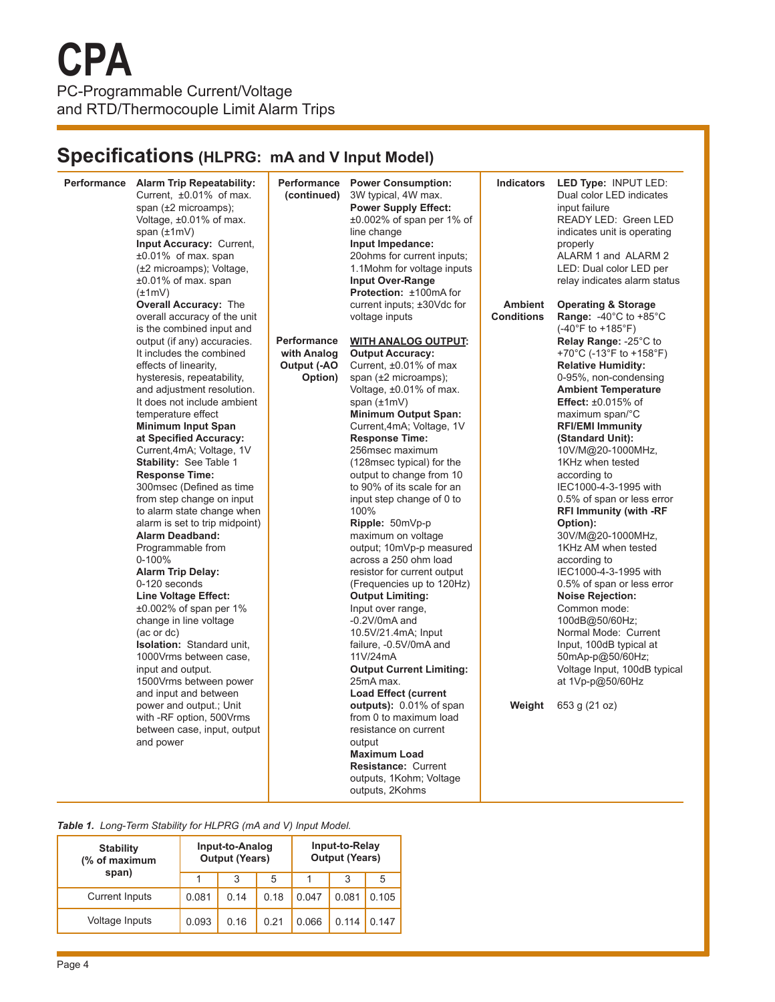# **Specifications (HLPRG: mA and V Input Model)**

| Performance Alarm Trip Repeatability:<br>Current, ±0.01% of max.<br>span (±2 microamps);<br>Voltage, ±0.01% of max.<br>span $(\pm 1mV)$<br>Input Accuracy: Current,<br>$±0.01\%$ of max. span<br>(±2 microamps); Voltage,<br>$±0.01\%$ of max. span<br>$(\pm 1mV)$                                                                                                                                                                                                                                                                                                                                                                                                                                                                                                                                                                                                                                                | Performance<br>(continued)                                  | <b>Power Consumption:</b><br>3W typical, 4W max.<br><b>Power Supply Effect:</b><br>$\pm 0.002\%$ of span per 1% of<br>line change<br>Input Impedance:<br>20ohms for current inputs;<br>1.1 Mohm for voltage inputs<br><b>Input Over-Range</b><br>Protection: ±100mA for                                                                                                                                                                                                                                                                                                                                                                                                                                                                                                                                                   | <b>Indicators</b>                   | LED Type: INPUT LED:<br>Dual color LED indicates<br>input failure<br>READY LED: Green LED<br>indicates unit is operating<br>properly<br>ALARM 1 and ALARM 2<br>LED: Dual color LED per<br>relay indicates alarm status                                                                                                                                                                                                                                                                                                                                                                                                                                                                                                                                                                                                                |
|-------------------------------------------------------------------------------------------------------------------------------------------------------------------------------------------------------------------------------------------------------------------------------------------------------------------------------------------------------------------------------------------------------------------------------------------------------------------------------------------------------------------------------------------------------------------------------------------------------------------------------------------------------------------------------------------------------------------------------------------------------------------------------------------------------------------------------------------------------------------------------------------------------------------|-------------------------------------------------------------|---------------------------------------------------------------------------------------------------------------------------------------------------------------------------------------------------------------------------------------------------------------------------------------------------------------------------------------------------------------------------------------------------------------------------------------------------------------------------------------------------------------------------------------------------------------------------------------------------------------------------------------------------------------------------------------------------------------------------------------------------------------------------------------------------------------------------|-------------------------------------|---------------------------------------------------------------------------------------------------------------------------------------------------------------------------------------------------------------------------------------------------------------------------------------------------------------------------------------------------------------------------------------------------------------------------------------------------------------------------------------------------------------------------------------------------------------------------------------------------------------------------------------------------------------------------------------------------------------------------------------------------------------------------------------------------------------------------------------|
| <b>Overall Accuracy: The</b><br>overall accuracy of the unit<br>is the combined input and<br>output (if any) accuracies.<br>It includes the combined<br>effects of linearity.<br>hysteresis, repeatability,<br>and adjustment resolution.<br>It does not include ambient<br>temperature effect<br><b>Minimum Input Span</b><br>at Specified Accuracy:<br>Current, 4mA; Voltage, 1V<br>Stability: See Table 1<br><b>Response Time:</b><br>300msec (Defined as time<br>from step change on input<br>to alarm state change when<br>alarm is set to trip midpoint)<br><b>Alarm Deadband:</b><br>Programmable from<br>0-100%<br><b>Alarm Trip Delay:</b><br>0-120 seconds<br><b>Line Voltage Effect:</b><br>$\pm 0.002\%$ of span per 1%<br>change in line voltage<br>(ac or dc)<br><b>Isolation:</b> Standard unit,<br>1000Vrms between case,<br>input and output.<br>1500Vrms between power<br>and input and between | <b>Performance</b><br>with Analog<br>Output (-AO<br>Option) | current inputs; ±30Vdc for<br>voltage inputs<br><b>WITH ANALOG OUTPUT:</b><br><b>Output Accuracy:</b><br>Current, ±0.01% of max<br>span $(\pm 2$ microamps);<br>Voltage, ±0.01% of max.<br>span $(\pm 1mV)$<br><b>Minimum Output Span:</b><br>Current, 4mA; Voltage, 1V<br><b>Response Time:</b><br>256msec maximum<br>(128 msec typical) for the<br>output to change from 10<br>to 90% of its scale for an<br>input step change of 0 to<br>100%<br>Ripple: 50mVp-p<br>maximum on voltage<br>output; 10mVp-p measured<br>across a 250 ohm load<br>resistor for current output<br>(Frequencies up to 120Hz)<br><b>Output Limiting:</b><br>Input over range,<br>$-0.2V/0mA$ and<br>10.5V/21.4mA; Input<br>failure, -0.5V/0mA and<br>11V/24mA<br><b>Output Current Limiting:</b><br>25mA max.<br><b>Load Effect (current</b> | <b>Ambient</b><br><b>Conditions</b> | <b>Operating &amp; Storage</b><br><b>Range:</b> $-40^{\circ}$ C to $+85^{\circ}$ C<br>$(-40^{\circ}F to +185^{\circ}F)$<br>Relay Range: -25°C to<br>+70°C (-13°F to +158°F)<br><b>Relative Humidity:</b><br>0-95%, non-condensing<br><b>Ambient Temperature</b><br>Effect: $\pm 0.015\%$ of<br>maximum span/°C<br><b>RFI/EMI Immunity</b><br>(Standard Unit):<br>10V/M@20-1000MHz,<br>1KHz when tested<br>according to<br>IEC1000-4-3-1995 with<br>0.5% of span or less error<br><b>RFI Immunity (with -RF</b><br>Option):<br>30V/M@20-1000MHz,<br>1KHz AM when tested<br>according to<br>IEC1000-4-3-1995 with<br>0.5% of span or less error<br><b>Noise Rejection:</b><br>Common mode:<br>100dB@50/60Hz;<br>Normal Mode: Current<br>Input, 100dB typical at<br>50mAp-p@50/60Hz;<br>Voltage Input, 100dB typical<br>at 1Vp-p@50/60Hz |
| power and output.; Unit<br>with -RF option, 500Vrms<br>between case, input, output<br>and power                                                                                                                                                                                                                                                                                                                                                                                                                                                                                                                                                                                                                                                                                                                                                                                                                   |                                                             | outputs): 0.01% of span<br>from 0 to maximum load<br>resistance on current<br>output<br><b>Maximum Load</b><br><b>Resistance: Current</b><br>outputs, 1Kohm; Voltage<br>outputs, 2Kohms                                                                                                                                                                                                                                                                                                                                                                                                                                                                                                                                                                                                                                   | Weight                              | 653 g (21 oz)                                                                                                                                                                                                                                                                                                                                                                                                                                                                                                                                                                                                                                                                                                                                                                                                                         |

*Table 1. Long-Term Stability for HLPRG (mA and V) Input Model.*

| <b>Stability</b><br>(% of maximum |       | Input-to-Analog<br><b>Output (Years)</b> |      | Input-to-Relay<br><b>Output (Years)</b> |       |       |  |
|-----------------------------------|-------|------------------------------------------|------|-----------------------------------------|-------|-------|--|
| span)                             |       | 3                                        | 5    |                                         | 3     | 5     |  |
| <b>Current Inputs</b>             | 0.081 | 0.14                                     | 0.18 | 0.047                                   | 0.081 | 0.105 |  |
| Voltage Inputs                    | 0.093 | 0.16                                     | 0.21 | 0.066                                   | 0.114 | 0 147 |  |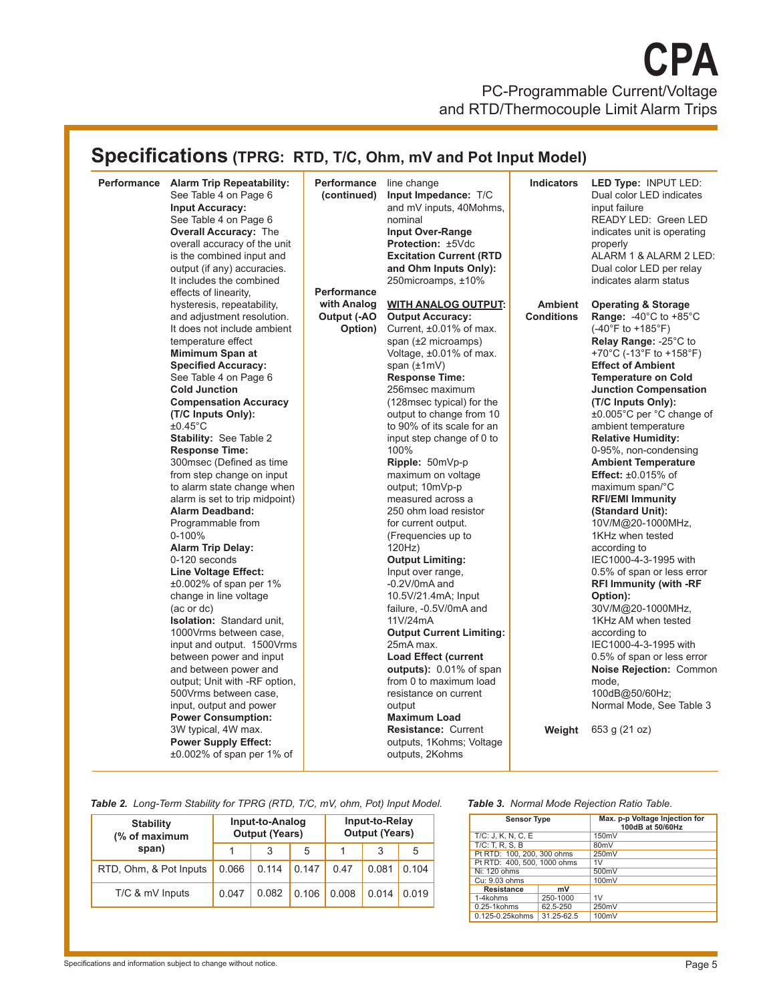# **Specifications (TPRG: RTD, T/C, Ohm, mV and Pot Input Model)**

| Performance Alarm Trip Repeatability:<br>See Table 4 on Page 6<br><b>Input Accuracy:</b><br>See Table 4 on Page 6<br><b>Overall Accuracy: The</b><br>overall accuracy of the unit<br>is the combined input and<br>output (if any) accuracies.<br>It includes the combined<br>effects of linearity,<br>hysteresis, repeatability,<br>and adjustment resolution.<br>It does not include ambient<br>temperature effect<br>Mimimum Span at                                                                                                                                                                                                                                                                                                                                                                                                                                                                      | <b>Performance</b> line change<br>(continued)<br><b>Performance</b><br>with Analog<br>Output (-AO<br>Option) | Input Impedance: T/C<br>and mV inputs, 40Mohms,<br>nominal<br><b>Input Over-Range</b><br>Protection: ±5Vdc<br><b>Excitation Current (RTD</b><br>and Ohm Inputs Only):<br>250microamps, ±10%<br><b>WITH ANALOG OUTPUT:</b><br><b>Output Accuracy:</b><br>Current, ±0.01% of max.<br>span (±2 microamps)<br>Voltage, ±0.01% of max.                                                                                                                                                                                                                                                                                                                                                                                                                                   | <b>Indicators</b><br><b>Ambient</b><br><b>Conditions</b> | LED Type: INPUT LED:<br>Dual color LED indicates<br>input failure<br>READY LED: Green LED<br>indicates unit is operating<br>properly<br>ALARM 1 & ALARM 2 LED:<br>Dual color LED per relay<br>indicates alarm status<br><b>Operating &amp; Storage</b><br><b>Range:</b> -40 $^{\circ}$ C to +85 $^{\circ}$ C<br>$(-40^{\circ}F to +185^{\circ}F)$<br>Relay Range: -25°C to<br>+70°C (-13°F to +158°F)                                                                                                                                                                                                                                                                                                                                 |
|-------------------------------------------------------------------------------------------------------------------------------------------------------------------------------------------------------------------------------------------------------------------------------------------------------------------------------------------------------------------------------------------------------------------------------------------------------------------------------------------------------------------------------------------------------------------------------------------------------------------------------------------------------------------------------------------------------------------------------------------------------------------------------------------------------------------------------------------------------------------------------------------------------------|--------------------------------------------------------------------------------------------------------------|---------------------------------------------------------------------------------------------------------------------------------------------------------------------------------------------------------------------------------------------------------------------------------------------------------------------------------------------------------------------------------------------------------------------------------------------------------------------------------------------------------------------------------------------------------------------------------------------------------------------------------------------------------------------------------------------------------------------------------------------------------------------|----------------------------------------------------------|---------------------------------------------------------------------------------------------------------------------------------------------------------------------------------------------------------------------------------------------------------------------------------------------------------------------------------------------------------------------------------------------------------------------------------------------------------------------------------------------------------------------------------------------------------------------------------------------------------------------------------------------------------------------------------------------------------------------------------------|
| <b>Specified Accuracy:</b><br>See Table 4 on Page 6<br><b>Cold Junction</b><br><b>Compensation Accuracy</b><br>(T/C Inputs Only):<br>$±0.45^{\circ}$ C<br><b>Stability: See Table 2</b><br><b>Response Time:</b><br>300msec (Defined as time<br>from step change on input<br>to alarm state change when<br>alarm is set to trip midpoint)<br><b>Alarm Deadband:</b><br>Programmable from<br>0-100%<br><b>Alarm Trip Delay:</b><br>0-120 seconds<br><b>Line Voltage Effect:</b><br>$\pm 0.002\%$ of span per 1%<br>change in line voltage<br>(ac or dc)<br><b>Isolation: Standard unit,</b><br>1000Vrms between case,<br>input and output. 1500Vrms<br>between power and input<br>and between power and<br>output; Unit with -RF option,<br>500Vrms between case,<br>input, output and power<br><b>Power Consumption:</b><br>3W typical, 4W max.<br><b>Power Supply Effect:</b><br>±0.002% of span per 1% of |                                                                                                              | span $(\pm 1mV)$<br><b>Response Time:</b><br>256msec maximum<br>(128msec typical) for the<br>output to change from 10<br>to 90% of its scale for an<br>input step change of 0 to<br>100%<br>Ripple: 50mVp-p<br>maximum on voltage<br>output; 10mVp-p<br>measured across a<br>250 ohm load resistor<br>for current output.<br>(Frequencies up to<br>120Hz<br><b>Output Limiting:</b><br>Input over range,<br>$-0.2V/0mA$ and<br>10.5V/21.4mA; Input<br>failure, -0.5V/0mA and<br>11V/24mA<br><b>Output Current Limiting:</b><br>25mA max.<br><b>Load Effect (current</b><br>outputs): 0.01% of span<br>from 0 to maximum load<br>resistance on current<br>output<br><b>Maximum Load</b><br><b>Resistance: Current</b><br>outputs, 1Kohms; Voltage<br>outputs, 2Kohms | Weight                                                   | <b>Effect of Ambient</b><br><b>Temperature on Cold</b><br><b>Junction Compensation</b><br>(T/C Inputs Only):<br>±0.005°C per °C change of<br>ambient temperature<br><b>Relative Humidity:</b><br>0-95%, non-condensing<br><b>Ambient Temperature</b><br>Effect: $\pm 0.015\%$ of<br>maximum span/°C<br><b>RFI/EMI Immunity</b><br>(Standard Unit):<br>10V/M@20-1000MHz,<br>1KHz when tested<br>according to<br>IEC1000-4-3-1995 with<br>0.5% of span or less error<br><b>RFI Immunity (with -RF</b><br>Option):<br>30V/M@20-1000MHz,<br>1KHz AM when tested<br>according to<br>IEC1000-4-3-1995 with<br>0.5% of span or less error<br>Noise Rejection: Common<br>mode,<br>100dB@50/60Hz;<br>Normal Mode, See Table 3<br>653 g (21 oz) |

*Table 2. Long-Term Stability for TPRG (RTD, T/C, mV, ohm, Pot) Input Model.*

| <b>Stability</b><br>(% of maximum | Input-to-Relay<br>Input-to-Analog<br><b>Output (Years)</b><br><b>Output (Years)</b> |       |       |       |       |       |  |  |
|-----------------------------------|-------------------------------------------------------------------------------------|-------|-------|-------|-------|-------|--|--|
| span)                             |                                                                                     | 3     | 5     |       | 3     | 5     |  |  |
| RTD, Ohm, & Pot Inputs            | 0.066                                                                               | 0.114 | 0.147 | 0.47  | 0.081 | 0.104 |  |  |
| T/C & mV Inputs                   | 0.047                                                                               | 0.082 | 0.106 | 0.008 | 0.014 | 0.019 |  |  |

#### *Table 3. Normal Mode Rejection Ratio Table.*

| <b>Sensor Type</b>           |            | Max. p-p Voltage Injection for<br>100dB at 50/60Hz |  |  |  |  |
|------------------------------|------------|----------------------------------------------------|--|--|--|--|
| T/C: J. K. N. C. E.          |            | 150mV                                              |  |  |  |  |
| $T/C$ : T. R. S. B           |            | 80 <sub>m</sub> V                                  |  |  |  |  |
| Pt RTD: 100, 200, 300 ohms   |            | 250mV                                              |  |  |  |  |
| Pt RTD: 400, 500, 1000 ohms  |            | 1V                                                 |  |  |  |  |
| Ni: 120 ohms                 |            | 500mV                                              |  |  |  |  |
| Cu: 9.03 ohms                |            | 100mV                                              |  |  |  |  |
| <b>Resistance</b>            | mV         |                                                    |  |  |  |  |
| 1-4kohms<br>250-1000         |            | 1V                                                 |  |  |  |  |
| $0.25 - 1$ kohms<br>62.5-250 |            | 250mV                                              |  |  |  |  |
| 0.125-0.25kohms              | 31.25-62.5 | 100mV                                              |  |  |  |  |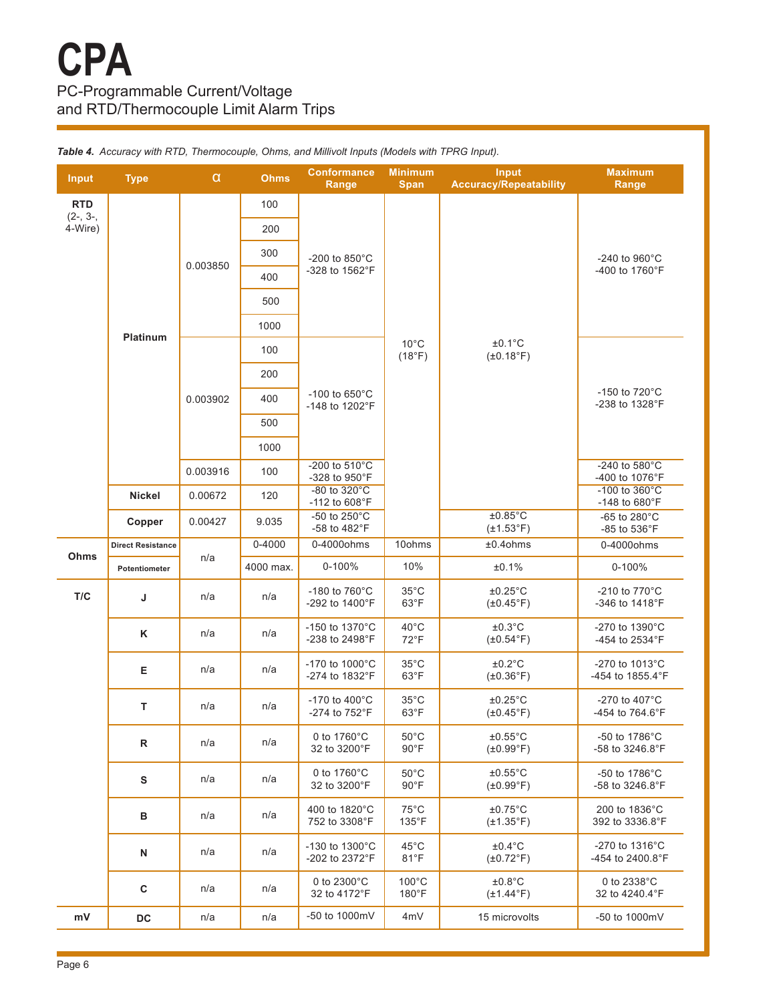| Input                 | <b>Type</b>              | α        | Ohms       | <b>Conformance</b><br>Range                 | <b>Minimum</b><br><b>Span</b>     | Input<br><b>Accuracy/Repeatability</b>     | <b>Maximum</b><br>Range                                |  |
|-----------------------|--------------------------|----------|------------|---------------------------------------------|-----------------------------------|--------------------------------------------|--------------------------------------------------------|--|
| <b>RTD</b>            |                          |          | 100        |                                             |                                   |                                            |                                                        |  |
| $(2-, 3-,$<br>4-Wire) |                          |          | 200        |                                             |                                   |                                            |                                                        |  |
|                       |                          |          | 300        | -200 to 850°C                               |                                   |                                            | -240 to 960°C                                          |  |
|                       |                          | 0.003850 | 400        | -328 to 1562°F                              |                                   |                                            | -400 to 1760°F                                         |  |
|                       |                          |          | 500        |                                             |                                   |                                            |                                                        |  |
|                       |                          |          | 1000       |                                             |                                   |                                            |                                                        |  |
|                       | <b>Platinum</b>          |          | 100        |                                             | $10^{\circ}$ C<br>(18°F)          | $±0.1^{\circ}C$<br>$(\pm 0.18^{\circ}F)$   |                                                        |  |
|                       |                          |          | 200        |                                             |                                   |                                            |                                                        |  |
|                       |                          | 0.003902 | 400        | -100 to 650°C<br>-148 to 1202°F             |                                   |                                            | -150 to 720°C<br>-238 to 1328°F                        |  |
|                       |                          |          | 500        |                                             |                                   |                                            |                                                        |  |
|                       |                          |          | 1000       |                                             |                                   |                                            |                                                        |  |
|                       |                          | 0.003916 | 100        | -200 to $510^{\circ}$ C<br>-328 to 950°F    |                                   |                                            | -240 to 580°C<br>-400 to 1076°F                        |  |
|                       | <b>Nickel</b>            | 0.00672  | 120        | $-80$ to $320^{\circ}$ C<br>-112 to 608°F   |                                   |                                            | $-100$ to $360^{\circ}$ C<br>$-148$ to 680 $\degree$ F |  |
|                       | Copper                   | 0.00427  | 9.035      | -50 to 250°C<br>-58 to 482°F                |                                   | $±0.85^{\circ}$ C<br>$(\pm 1.53^\circ F)$  | -65 to 280 $^{\circ}$ C<br>$-85$ to $536^{\circ}$ F    |  |
|                       | <b>Direct Resistance</b> |          | $0 - 4000$ | 0-4000ohms                                  | 10ohms                            | $±0.4$ ohms                                | 0-4000ohms                                             |  |
| Ohms                  | Potentiometer            | n/a      | 4000 max.  | 0-100%                                      | 10%                               | ±0.1%                                      | 0-100%                                                 |  |
| T/C                   | J                        | n/a      | n/a        | -180 to 760°C<br>-292 to 1400°F             | $35^{\circ}$ C<br>63°F            | $±0.25^{\circ}$ C<br>$(\pm 0.45^{\circ}F)$ | -210 to $770^{\circ}$ C<br>-346 to 1418°F              |  |
|                       | Κ                        | n/a      | n/a        | -150 to 1370°C<br>-238 to 2498°F            | $40^{\circ}$ C<br>72°F            | $±0.3$ °C<br>$(\pm 0.54^{\circ}F)$         | -270 to 1390°C<br>-454 to 2534°F                       |  |
|                       | Е                        | n/a      | n/a        | -170 to 1000°C<br>-274 to 1832°F            | $35^{\circ}$ C<br>$63^{\circ}F$   | ±0.2°C<br>$(\pm 0.36^\circ F)$             | -270 to 1013°C<br>-454 to 1855.4°F                     |  |
|                       | T                        | n/a      | n/a        | -170 to 400°C<br>-274 to 752°F              | $35^{\circ}$ C<br>$63^{\circ}F$   | $±0.25^{\circ}$ C<br>$(\pm 0.45^{\circ}F)$ | $-270$ to $407^{\circ}$ C<br>-454 to $764.6^{\circ}F$  |  |
|                       | $\mathsf{R}$             | n/a      | n/a        | 0 to $1760^{\circ}$ C<br>32 to 3200°F       | $50^{\circ}$ C<br>$90^{\circ}$ F  | $±0.55^{\circ}$ C<br>$(\pm 0.99^{\circ}F)$ | $-50$ to 1786 $^{\circ}$ C<br>-58 to 3246.8°F          |  |
|                       | S                        | n/a      | n/a        | 0 to $1760^{\circ}$ C<br>32 to 3200°F       | $50^{\circ}$ C<br>$90^{\circ}$ F  | $±0.55^{\circ}$ C<br>$(\pm 0.99^{\circ}F)$ | $-50$ to 1786 $^{\circ}$ C<br>$-58$ to 3246.8°F        |  |
|                       | в                        | n/a      | n/a        | 400 to 1820°C<br>752 to 3308°F              | $75^{\circ}$ C<br>$135^{\circ}$ F | $±0.75^{\circ}$ C<br>$(\pm 1.35^{\circ}F)$ | 200 to 1836°C<br>392 to 3336.8°F                       |  |
|                       | N                        | n/a      | n/a        | -130 to 1300°C<br>$-202$ to $2372^{\circ}F$ | $45^{\circ}$ C<br>$81^{\circ}F$   | $\pm 0.4$ °C<br>$(\pm 0.72$ °F)            | $-270$ to 1316 $^{\circ}$ C<br>-454 to 2400.8°F        |  |
|                       | C                        | n/a      | n/a        | 0 to $2300^{\circ}$ C<br>32 to 4172°F       | $100^{\circ}$ C<br>180°F          | ±0.8°C<br>$(\pm 1.44$ °F)                  | 0 to $2338^{\circ}$ C<br>32 to 4240.4°F                |  |
|                       | <b>DC</b>                | n/a      | n/a        | -50 to 1000mV                               | 4mV                               | 15 microvolts                              | -50 to 1000mV                                          |  |

*Table 4. Accuracy with RTD, Thermocouple, Ohms, and Millivolt Inputs (Models with TPRG Input).*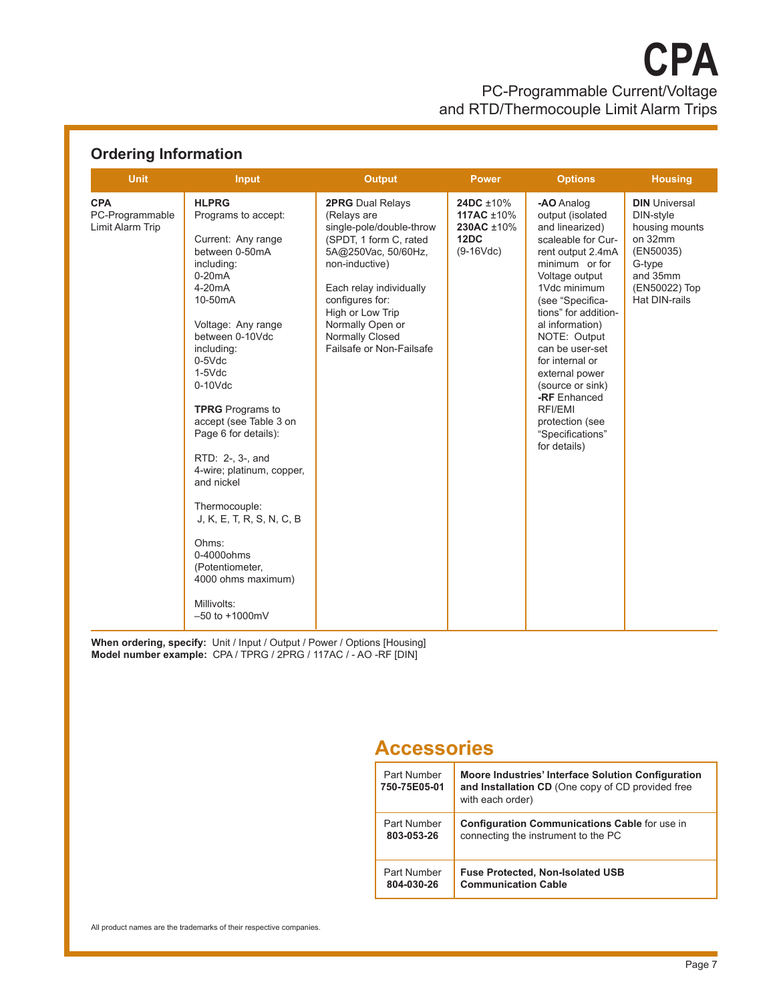PC-Programmable Current/Voltage and RTD/Thermocouple Limit Alarm Trips **CPA**

## **Ordering Information**

| <b>Unit</b>                                       | <b>Input</b>                                                                                                                                                                                                                                                                                                                                                                                                                                                                                                                         | <b>Output</b>                                                                                                                                                                                                                                                              | <b>Power</b>                                                       | <b>Options</b>                                                                                                                                                                                                                                                                                                                                                                                | <b>Housing</b>                                                                                                                      |
|---------------------------------------------------|--------------------------------------------------------------------------------------------------------------------------------------------------------------------------------------------------------------------------------------------------------------------------------------------------------------------------------------------------------------------------------------------------------------------------------------------------------------------------------------------------------------------------------------|----------------------------------------------------------------------------------------------------------------------------------------------------------------------------------------------------------------------------------------------------------------------------|--------------------------------------------------------------------|-----------------------------------------------------------------------------------------------------------------------------------------------------------------------------------------------------------------------------------------------------------------------------------------------------------------------------------------------------------------------------------------------|-------------------------------------------------------------------------------------------------------------------------------------|
| <b>CPA</b><br>PC-Programmable<br>Limit Alarm Trip | <b>HLPRG</b><br>Programs to accept:<br>Current: Any range<br>between 0-50mA<br>including:<br>$0-20mA$<br>$4-20mA$<br>10-50mA<br>Voltage: Any range<br>between 0-10Vdc<br>including:<br>$0-5$ $Vdc$<br>$1-5$ $Vdc$<br>$0-10$ $Vdc$<br><b>TPRG</b> Programs to<br>accept (see Table 3 on<br>Page 6 for details):<br>RTD: 2-, 3-, and<br>4-wire; platinum, copper,<br>and nickel<br>Thermocouple:<br>J, K, E, T, R, S, N, C, B<br>Ohms:<br>$0-4000$ ohms<br>(Potentiometer,<br>4000 ohms maximum)<br>Millivolts:<br>$-50$ to $+1000$ mV | <b>2PRG</b> Dual Relays<br>(Relays are<br>single-pole/double-throw<br>(SPDT, 1 form C, rated<br>5A@250Vac, 50/60Hz,<br>non-inductive)<br>Each relay individually<br>configures for:<br>High or Low Trip<br>Normally Open or<br>Normally Closed<br>Failsafe or Non-Failsafe | 24DC ±10%<br>117AC $\pm 10\%$<br>230AC ±10%<br>12DC<br>$(9-16Vdc)$ | -AO Analog<br>output (isolated<br>and linearized)<br>scaleable for Cur-<br>rent output 2.4mA<br>minimum or for<br>Voltage output<br>1Vdc minimum<br>(see "Specifica-<br>tions" for addition-<br>al information)<br>NOTE: Output<br>can be user-set<br>for internal or<br>external power<br>(source or sink)<br>-RF Enhanced<br>RFI/EMI<br>protection (see<br>"Specifications"<br>for details) | <b>DIN</b> Universal<br>DIN-style<br>housing mounts<br>on 32mm<br>(EN50035)<br>G-type<br>and 35mm<br>(EN50022) Top<br>Hat DIN-rails |

**When ordering, specify:** Unit / Input / Output / Power / Options [Housing] **Model number example:**CPA / TPRG / 2PRG / 117AC / - AO -RF [DIN]

# **Accessories**

| Part Number<br>750-75E05-01 | Moore Industries' Interface Solution Configuration<br>and Installation CD (One copy of CD provided free<br>with each order) |
|-----------------------------|-----------------------------------------------------------------------------------------------------------------------------|
| Part Number                 | Configuration Communications Cable for use in                                                                               |
| 803-053-26                  | connecting the instrument to the PC                                                                                         |
| Part Number                 | <b>Fuse Protected, Non-Isolated USB</b>                                                                                     |
| 804-030-26                  | <b>Communication Cable</b>                                                                                                  |